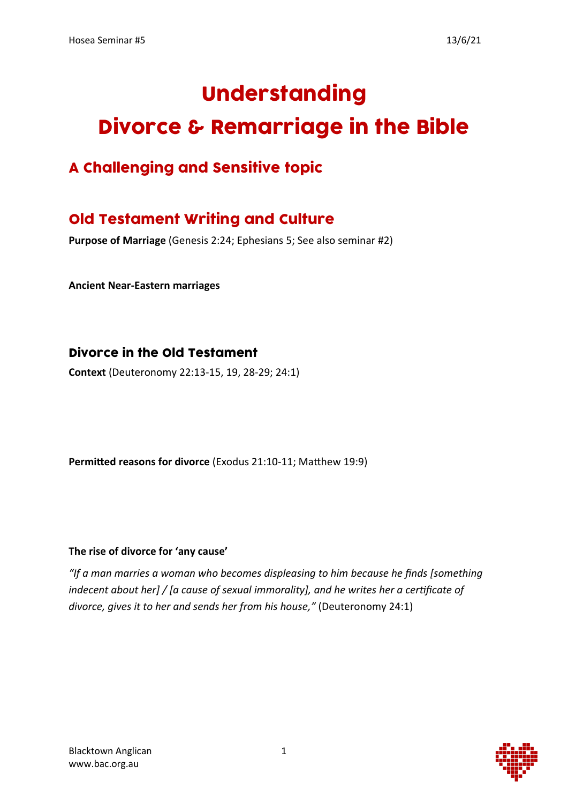# Understanding Divorce & Remarriage in the Bible

# A Challenging and Sensitive topic

# Old Testament Writing and Culture

**Purpose of Marriage** (Genesis 2:24; Ephesians 5; See also seminar #2)

**Ancient Near-Eastern marriages**

### Divorce in the Old Testament

**Context** (Deuteronomy 22:13-15, 19, 28-29; 24:1)

**Permitted reasons for divorce** (Exodus 21:10-11; Matthew 19:9)

#### **The rise of divorce for 'any cause'**

*"If a man marries a woman who becomes displeasing to him because he finds [something indecent about her] / [a cause of sexual immorality], and he writes her a certificate of divorce, gives it to her and sends her from his house,"* (Deuteronomy 24:1)